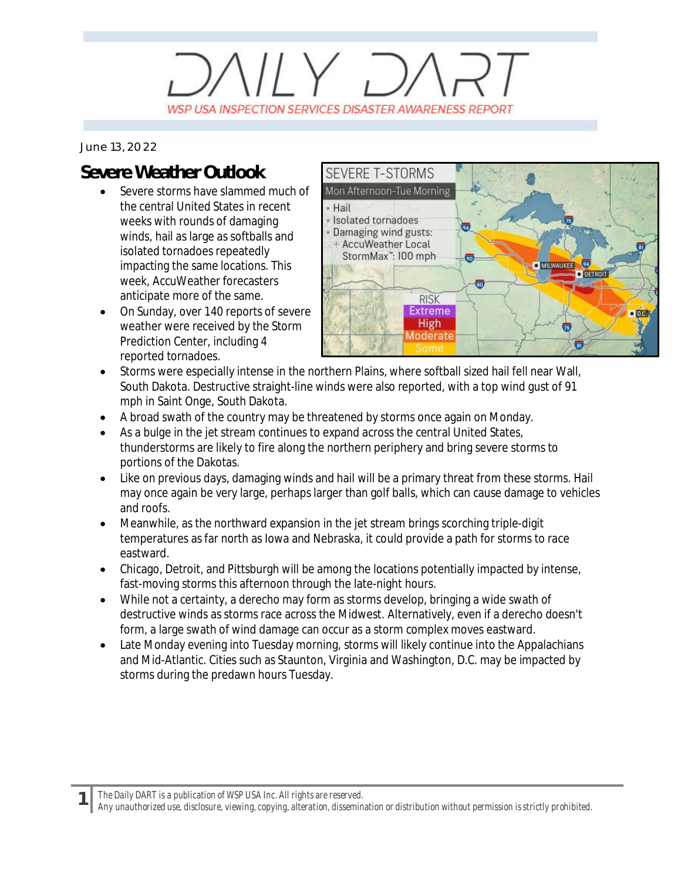## $VIVJ$ WSP USA INSPECTION SERVICES DISASTER AWARENESS REPORT

## *June 13, 2022*

## **Severe Weather Outlook**

- Severe storms have slammed much of the central United States in recent weeks with rounds of damaging winds, hail as large as softballs and isolated tornadoes repeatedly impacting the same locations. This week, AccuWeather forecasters anticipate more of the same.
- · On Sunday, over 140 reports of severe weather were received by the Storm Prediction Center, including 4 reported tornadoes.



- · Storms were especially intense in the northern Plains, where softball sized hail fell near Wall, South Dakota. Destructive straight-line winds were also reported, with a top wind gust of 91 mph in Saint Onge, South Dakota.
- · A broad swath of the country may be threatened by storms once again on Monday.
- As a bulge in the jet stream continues to expand across the central United States, thunderstorms are likely to fire along the northern periphery and bring severe storms to portions of the Dakotas.
- Like on previous days, damaging winds and hail will be a primary threat from these storms. Hail may once again be very large, perhaps larger than golf balls, which can cause damage to vehicles and roofs.
- Meanwhile, as the northward expansion in the jet stream brings scorching triple-digit temperatures as far north as Iowa and Nebraska, it could provide a path for storms to race eastward.
- · Chicago, Detroit, and Pittsburgh will be among the locations potentially impacted by intense, fast-moving storms this afternoon through the late-night hours.
- While not a certainty, a derecho may form as storms develop, bringing a wide swath of destructive winds as storms race across the Midwest. Alternatively, even if a derecho doesn't form, a large swath of wind damage can occur as a storm complex moves eastward.
- Late Monday evening into Tuesday morning, storms will likely continue into the Appalachians and Mid-Atlantic. Cities such as Staunton, Virginia and Washington, D.C. may be impacted by storms during the predawn hours Tuesday.

**1** *The Daily DART is a publication of WSP USA Inc. All rights are reserved. Any unauthorized use, disclosure, viewing, copying, alteration, dissemination or distribution without permission is strictly prohibited.*